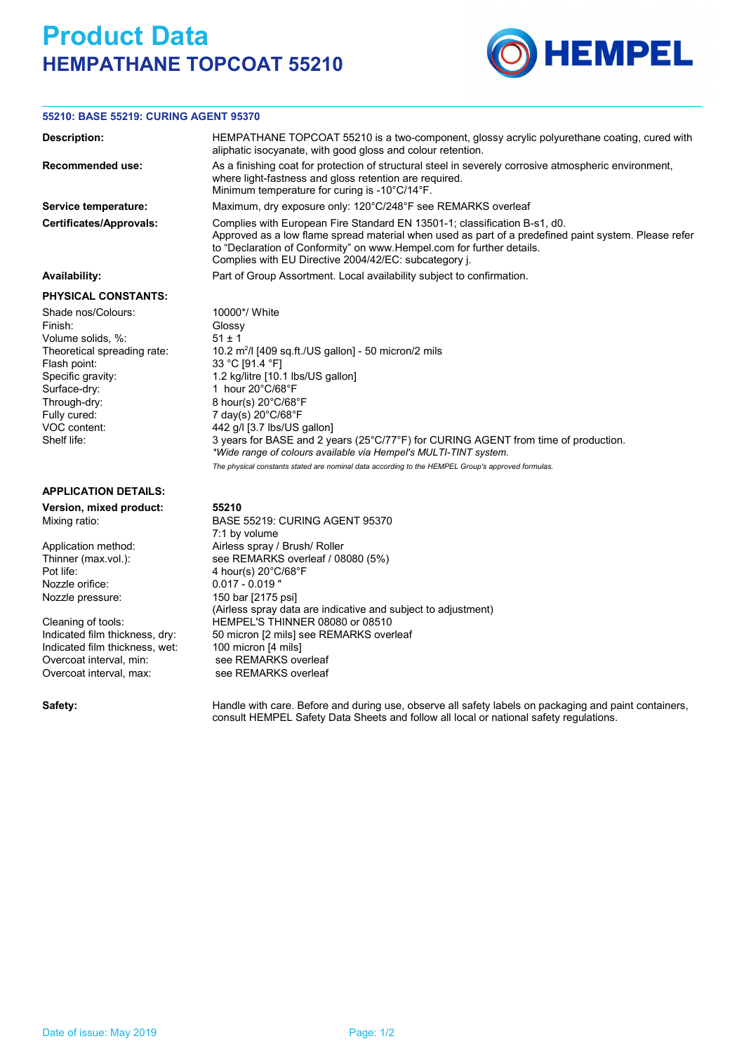## **Product Data HEMPATHANE TOPCOAT 55210**



## **55210: BASE 55219: CURING AGENT 95370**

| Description:                                                                                                                                                                                          | HEMPATHANE TOPCOAT 55210 is a two-component, glossy acrylic polyurethane coating, cured with<br>aliphatic isocyanate, with good gloss and colour retention.                                                                                                                                                                                                                                                                                                                                                                  |  |  |  |  |  |
|-------------------------------------------------------------------------------------------------------------------------------------------------------------------------------------------------------|------------------------------------------------------------------------------------------------------------------------------------------------------------------------------------------------------------------------------------------------------------------------------------------------------------------------------------------------------------------------------------------------------------------------------------------------------------------------------------------------------------------------------|--|--|--|--|--|
| Recommended use:                                                                                                                                                                                      | As a finishing coat for protection of structural steel in severely corrosive atmospheric environment,<br>where light-fastness and gloss retention are required.<br>Minimum temperature for curing is -10°C/14°F.                                                                                                                                                                                                                                                                                                             |  |  |  |  |  |
| Service temperature:                                                                                                                                                                                  | Maximum, dry exposure only: 120°C/248°F see REMARKS overleaf                                                                                                                                                                                                                                                                                                                                                                                                                                                                 |  |  |  |  |  |
| <b>Certificates/Approvals:</b>                                                                                                                                                                        | Complies with European Fire Standard EN 13501-1; classification B-s1, d0.<br>Approved as a low flame spread material when used as part of a predefined paint system. Please refer<br>to "Declaration of Conformity" on www.Hempel.com for further details.<br>Complies with EU Directive 2004/42/EC: subcategory j.                                                                                                                                                                                                          |  |  |  |  |  |
| Availability:                                                                                                                                                                                         | Part of Group Assortment. Local availability subject to confirmation.                                                                                                                                                                                                                                                                                                                                                                                                                                                        |  |  |  |  |  |
| <b>PHYSICAL CONSTANTS:</b>                                                                                                                                                                            |                                                                                                                                                                                                                                                                                                                                                                                                                                                                                                                              |  |  |  |  |  |
| Shade nos/Colours:<br>Finish:<br>Volume solids, %:<br>Theoretical spreading rate:<br>Flash point:<br>Specific gravity:<br>Surface-dry:<br>Through-dry:<br>Fully cured:<br>VOC content:<br>Shelf life: | 10000*/ White<br>Glossy<br>51 ± 1<br>10.2 m <sup>2</sup> /l [409 sq.ft./US gallon] - 50 micron/2 mils<br>33 °C [91.4 °F]<br>1.2 kg/litre [10.1 lbs/US gallon]<br>1 hour 20°C/68°F<br>8 hour(s) 20°C/68°F<br>7 day(s) 20°C/68°F<br>442 g/l [3.7 lbs/US gallon]<br>3 years for BASE and 2 years (25°C/77°F) for CURING AGENT from time of production.<br>*Wide range of colours available via Hempel's MULTI-TINT system.<br>The physical constants stated are nominal data according to the HEMPEL Group's approved formulas. |  |  |  |  |  |
| <b>APPLICATION DETAILS:</b>                                                                                                                                                                           |                                                                                                                                                                                                                                                                                                                                                                                                                                                                                                                              |  |  |  |  |  |
| Version, mixed product:<br>Mixing ratio:                                                                                                                                                              | 55210<br><b>BASE 55219: CURING AGENT 95370</b><br>7:1 by volume                                                                                                                                                                                                                                                                                                                                                                                                                                                              |  |  |  |  |  |
| Application method:<br>Thinner (max.vol.):<br>Pot life:                                                                                                                                               | Airless spray / Brush/ Roller<br>see REMARKS overleaf / 08080 (5%)<br>4 hour(s) $20^{\circ}$ C/68 $^{\circ}$ F                                                                                                                                                                                                                                                                                                                                                                                                               |  |  |  |  |  |
| Nozzle orifice:<br>Nozzle pressure:                                                                                                                                                                   | $0.017 - 0.019$<br>150 bar [2175 psi]                                                                                                                                                                                                                                                                                                                                                                                                                                                                                        |  |  |  |  |  |
| Cleaning of tools:<br>Indicated film thickness, dry:                                                                                                                                                  | (Airless spray data are indicative and subject to adjustment)<br>HEMPEL'S THINNER 08080 or 08510<br>50 micron [2 mils] see REMARKS overleaf                                                                                                                                                                                                                                                                                                                                                                                  |  |  |  |  |  |
| Indicated film thickness, wet:                                                                                                                                                                        | 100 micron [4 mils]                                                                                                                                                                                                                                                                                                                                                                                                                                                                                                          |  |  |  |  |  |
| Overcoat interval, min:                                                                                                                                                                               | see REMARKS overleaf                                                                                                                                                                                                                                                                                                                                                                                                                                                                                                         |  |  |  |  |  |

Overcoat interval, max: see REMARKS overleaf

Safety: **Handle with care. Before and during use, observe all safety labels on packaging and paint containers,** consult HEMPEL Safety Data Sheets and follow all local or national safety regulations.